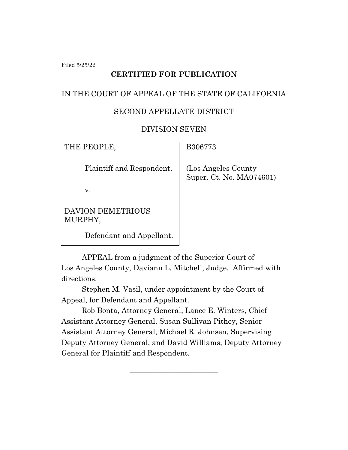Filed 5/25/22

# **CERTIFIED FOR PUBLICATION**

# IN THE COURT OF APPEAL OF THE STATE OF CALIFORNIA

#### SECOND APPELLATE DISTRICT

#### DIVISION SEVEN

| THE PEOPLE,                         | B306773                                          |
|-------------------------------------|--------------------------------------------------|
| Plaintiff and Respondent,           | (Los Angeles County)<br>Super. Ct. No. MA074601) |
| v.                                  |                                                  |
| <b>DAVION DEMETRIOUS</b><br>MURPHY, |                                                  |

Defendant and Appellant.

APPEAL from a judgment of the Superior Court of Los Angeles County, Daviann L. Mitchell, Judge. Affirmed with directions.

Stephen M. Vasil, under appointment by the Court of Appeal, for Defendant and Appellant.

Rob Bonta, Attorney General, Lance E. Winters, Chief Assistant Attorney General, Susan Sullivan Pithey, Senior Assistant Attorney General, Michael R. Johnsen, Supervising Deputy Attorney General, and David Williams, Deputy Attorney General for Plaintiff and Respondent.

\_\_\_\_\_\_\_\_\_\_\_\_\_\_\_\_\_\_\_\_\_\_\_\_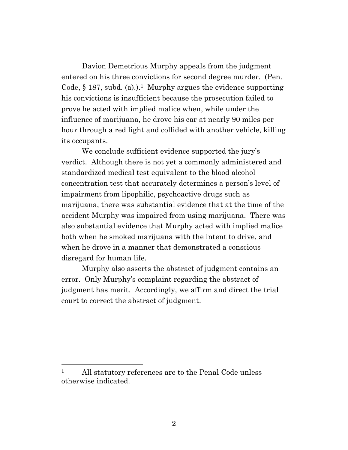Davion Demetrious Murphy appeals from the judgment entered on his three convictions for second degree murder. (Pen. Code,  $\S 187$ , subd. (a).).<sup>1</sup> Murphy argues the evidence supporting his convictions is insufficient because the prosecution failed to prove he acted with implied malice when, while under the influence of marijuana, he drove his car at nearly 90 miles per hour through a red light and collided with another vehicle, killing its occupants.

We conclude sufficient evidence supported the jury's verdict. Although there is not yet a commonly administered and standardized medical test equivalent to the blood alcohol concentration test that accurately determines a person's level of impairment from lipophilic, psychoactive drugs such as marijuana, there was substantial evidence that at the time of the accident Murphy was impaired from using marijuana. There was also substantial evidence that Murphy acted with implied malice both when he smoked marijuana with the intent to drive, and when he drove in a manner that demonstrated a conscious disregard for human life.

Murphy also asserts the abstract of judgment contains an error. Only Murphy's complaint regarding the abstract of judgment has merit. Accordingly, we affirm and direct the trial court to correct the abstract of judgment.

<sup>&</sup>lt;sup>1</sup> All statutory references are to the Penal Code unless otherwise indicated.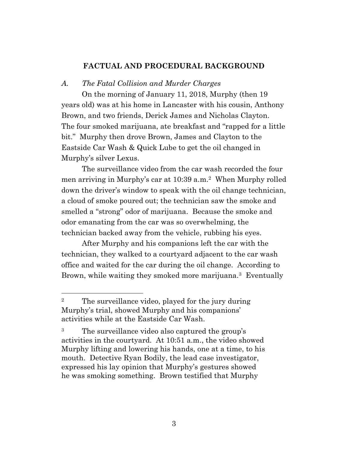# **FACTUAL AND PROCEDURAL BACKGROUND**

#### *A. The Fatal Collision and Murder Charges*

On the morning of January 11, 2018, Murphy (then 19 years old) was at his home in Lancaster with his cousin, Anthony Brown, and two friends, Derick James and Nicholas Clayton. The four smoked marijuana, ate breakfast and "rapped for a little bit." Murphy then drove Brown, James and Clayton to the Eastside Car Wash & Quick Lube to get the oil changed in Murphy's silver Lexus.

The surveillance video from the car wash recorded the four men arriving in Murphy's car at 10:39 a.m.<sup>2</sup> When Murphy rolled down the driver's window to speak with the oil change technician, a cloud of smoke poured out; the technician saw the smoke and smelled a "strong" odor of marijuana. Because the smoke and odor emanating from the car was so overwhelming, the technician backed away from the vehicle, rubbing his eyes.

After Murphy and his companions left the car with the technician, they walked to a courtyard adjacent to the car wash office and waited for the car during the oil change. According to Brown, while waiting they smoked more marijuana.<sup>3</sup> Eventually

<sup>&</sup>lt;sup>2</sup> The surveillance video, played for the jury during Murphy's trial, showed Murphy and his companions' activities while at the Eastside Car Wash.

<sup>&</sup>lt;sup>3</sup> The surveillance video also captured the group's activities in the courtyard. At 10:51 a.m., the video showed Murphy lifting and lowering his hands, one at a time, to his mouth. Detective Ryan Bodily, the lead case investigator, expressed his lay opinion that Murphy's gestures showed he was smoking something. Brown testified that Murphy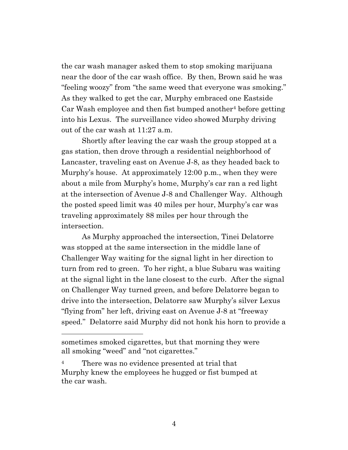the car wash manager asked them to stop smoking marijuana near the door of the car wash office. By then, Brown said he was "feeling woozy" from "the same weed that everyone was smoking." As they walked to get the car, Murphy embraced one Eastside  $Car Wash$  employee and then fist bumped another<sup>4</sup> before getting into his Lexus. The surveillance video showed Murphy driving out of the car wash at 11:27 a.m.

Shortly after leaving the car wash the group stopped at a gas station, then drove through a residential neighborhood of Lancaster, traveling east on Avenue J-8, as they headed back to Murphy's house. At approximately 12:00 p.m., when they were about a mile from Murphy's home, Murphy's car ran a red light at the intersection of Avenue J-8 and Challenger Way. Although the posted speed limit was 40 miles per hour, Murphy's car was traveling approximately 88 miles per hour through the intersection.

As Murphy approached the intersection, Tinei Delatorre was stopped at the same intersection in the middle lane of Challenger Way waiting for the signal light in her direction to turn from red to green. To her right, a blue Subaru was waiting at the signal light in the lane closest to the curb. After the signal on Challenger Way turned green, and before Delatorre began to drive into the intersection, Delatorre saw Murphy's silver Lexus "flying from" her left, driving east on Avenue J-8 at "freeway speed." Delatorre said Murphy did not honk his horn to provide a

sometimes smoked cigarettes, but that morning they were all smoking "weed" and "not cigarettes."

There was no evidence presented at trial that Murphy knew the employees he hugged or fist bumped at the car wash.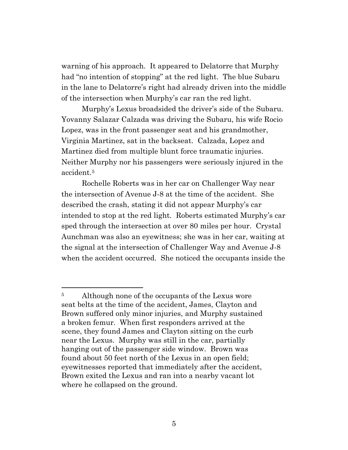warning of his approach. It appeared to Delatorre that Murphy had "no intention of stopping" at the red light. The blue Subaru in the lane to Delatorre's right had already driven into the middle of the intersection when Murphy's car ran the red light.

Murphy's Lexus broadsided the driver's side of the Subaru. Yovanny Salazar Calzada was driving the Subaru, his wife Rocio Lopez, was in the front passenger seat and his grandmother, Virginia Martinez, sat in the backseat. Calzada, Lopez and Martinez died from multiple blunt force traumatic injuries. Neither Murphy nor his passengers were seriously injured in the accident.<sup>5</sup>

Rochelle Roberts was in her car on Challenger Way near the intersection of Avenue J-8 at the time of the accident. She described the crash, stating it did not appear Murphy's car intended to stop at the red light. Roberts estimated Murphy's car sped through the intersection at over 80 miles per hour. Crystal Aunchman was also an eyewitness; she was in her car, waiting at the signal at the intersection of Challenger Way and Avenue J-8 when the accident occurred. She noticed the occupants inside the

<sup>&</sup>lt;sup>5</sup> Although none of the occupants of the Lexus wore seat belts at the time of the accident, James, Clayton and Brown suffered only minor injuries, and Murphy sustained a broken femur. When first responders arrived at the scene, they found James and Clayton sitting on the curb near the Lexus. Murphy was still in the car, partially hanging out of the passenger side window. Brown was found about 50 feet north of the Lexus in an open field; eyewitnesses reported that immediately after the accident, Brown exited the Lexus and ran into a nearby vacant lot where he collapsed on the ground.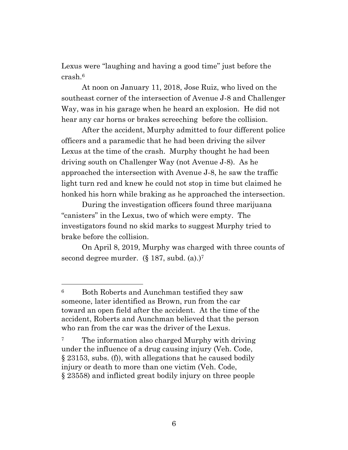Lexus were "laughing and having a good time" just before the crash.<sup>6</sup>

At noon on January 11, 2018, Jose Ruiz, who lived on the southeast corner of the intersection of Avenue J-8 and Challenger Way, was in his garage when he heard an explosion. He did not hear any car horns or brakes screeching before the collision.

After the accident, Murphy admitted to four different police officers and a paramedic that he had been driving the silver Lexus at the time of the crash. Murphy thought he had been driving south on Challenger Way (not Avenue J-8). As he approached the intersection with Avenue J-8, he saw the traffic light turn red and knew he could not stop in time but claimed he honked his horn while braking as he approached the intersection.

During the investigation officers found three marijuana "canisters" in the Lexus, two of which were empty. The investigators found no skid marks to suggest Murphy tried to brake before the collision.

On April 8, 2019, Murphy was charged with three counts of second degree murder.  $(\S 187, \text{subd. (a)})^7$ 

<sup>6</sup> Both Roberts and Aunchman testified they saw someone, later identified as Brown, run from the car toward an open field after the accident. At the time of the accident, Roberts and Aunchman believed that the person who ran from the car was the driver of the Lexus.

<sup>&</sup>lt;sup>7</sup> The information also charged Murphy with driving under the influence of a drug causing injury (Veh. Code, § 23153, subs. (f)), with allegations that he caused bodily injury or death to more than one victim (Veh. Code, § 23558) and inflicted great bodily injury on three people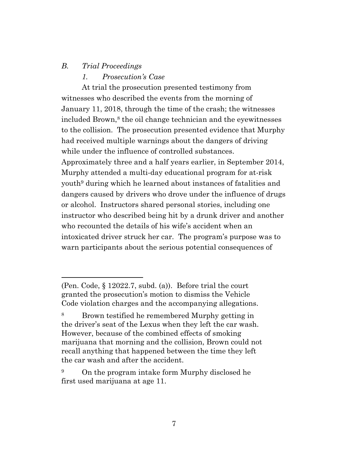# *B. Trial Proceedings*

#### *1. Prosecution's Case*

At trial the prosecution presented testimony from witnesses who described the events from the morning of January 11, 2018, through the time of the crash; the witnesses included Brown, <sup>8</sup> the oil change technician and the eyewitnesses to the collision. The prosecution presented evidence that Murphy had received multiple warnings about the dangers of driving while under the influence of controlled substances. Approximately three and a half years earlier, in September 2014, Murphy attended a multi-day educational program for at-risk youth<sup>9</sup> during which he learned about instances of fatalities and dangers caused by drivers who drove under the influence of drugs or alcohol. Instructors shared personal stories, including one instructor who described being hit by a drunk driver and another who recounted the details of his wife's accident when an intoxicated driver struck her car. The program's purpose was to warn participants about the serious potential consequences of

<sup>(</sup>Pen. Code, § 12022.7, subd. (a)). Before trial the court granted the prosecution's motion to dismiss the Vehicle Code violation charges and the accompanying allegations.

<sup>8</sup> Brown testified he remembered Murphy getting in the driver's seat of the Lexus when they left the car wash. However, because of the combined effects of smoking marijuana that morning and the collision, Brown could not recall anything that happened between the time they left the car wash and after the accident.

<sup>&</sup>lt;sup>9</sup> On the program intake form Murphy disclosed he first used marijuana at age 11.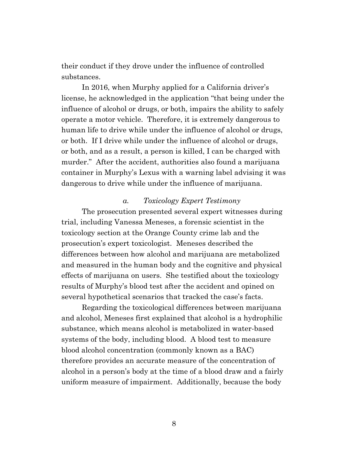their conduct if they drove under the influence of controlled substances.

In 2016, when Murphy applied for a California driver's license, he acknowledged in the application "that being under the influence of alcohol or drugs, or both, impairs the ability to safely operate a motor vehicle. Therefore, it is extremely dangerous to human life to drive while under the influence of alcohol or drugs, or both. If I drive while under the influence of alcohol or drugs, or both, and as a result, a person is killed, I can be charged with murder." After the accident, authorities also found a marijuana container in Murphy's Lexus with a warning label advising it was dangerous to drive while under the influence of marijuana.

#### *a. Toxicology Expert Testimony*

The prosecution presented several expert witnesses during trial, including Vanessa Meneses, a forensic scientist in the toxicology section at the Orange County crime lab and the prosecution's expert toxicologist. Meneses described the differences between how alcohol and marijuana are metabolized and measured in the human body and the cognitive and physical effects of marijuana on users. She testified about the toxicology results of Murphy's blood test after the accident and opined on several hypothetical scenarios that tracked the case's facts.

Regarding the toxicological differences between marijuana and alcohol, Meneses first explained that alcohol is a hydrophilic substance, which means alcohol is metabolized in water-based systems of the body, including blood. A blood test to measure blood alcohol concentration (commonly known as a BAC) therefore provides an accurate measure of the concentration of alcohol in a person's body at the time of a blood draw and a fairly uniform measure of impairment. Additionally, because the body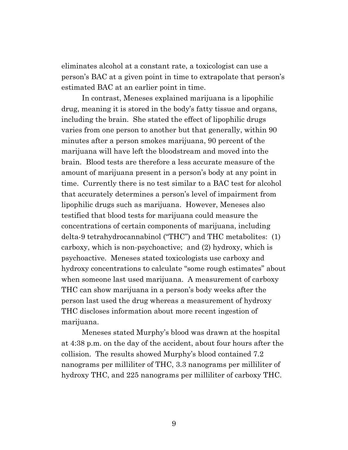eliminates alcohol at a constant rate, a toxicologist can use a person's BAC at a given point in time to extrapolate that person's estimated BAC at an earlier point in time.

In contrast, Meneses explained marijuana is a lipophilic drug, meaning it is stored in the body's fatty tissue and organs, including the brain. She stated the effect of lipophilic drugs varies from one person to another but that generally, within 90 minutes after a person smokes marijuana, 90 percent of the marijuana will have left the bloodstream and moved into the brain. Blood tests are therefore a less accurate measure of the amount of marijuana present in a person's body at any point in time. Currently there is no test similar to a BAC test for alcohol that accurately determines a person's level of impairment from lipophilic drugs such as marijuana. However, Meneses also testified that blood tests for marijuana could measure the concentrations of certain components of marijuana, including delta-9 tetrahydrocannabinol ("THC") and THC metabolites: (1) carboxy, which is non-psychoactive; and (2) hydroxy, which is psychoactive. Meneses stated toxicologists use carboxy and hydroxy concentrations to calculate "some rough estimates" about when someone last used marijuana. A measurement of carboxy THC can show marijuana in a person's body weeks after the person last used the drug whereas a measurement of hydroxy THC discloses information about more recent ingestion of marijuana.

Meneses stated Murphy's blood was drawn at the hospital at 4:38 p.m. on the day of the accident, about four hours after the collision. The results showed Murphy's blood contained 7.2 nanograms per milliliter of THC, 3.3 nanograms per milliliter of hydroxy THC, and 225 nanograms per milliliter of carboxy THC.

9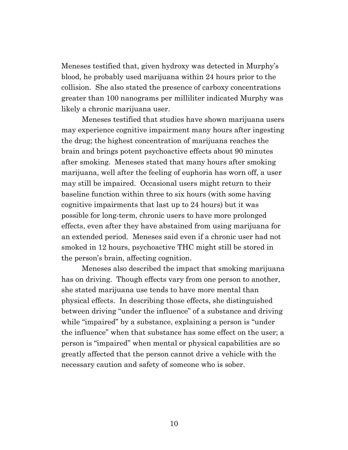Meneses testified that, given hydroxy was detected in Murphy's blood, he probably used marijuana within 24 hours prior to the collision. She also stated the presence of carboxy concentrations greater than 100 nanograms per milliliter indicated Murphy was likely a chronic marijuana user.

Meneses testified that studies have shown marijuana users may experience cognitive impairment many hours after ingesting the drug; the highest concentration of marijuana reaches the brain and brings potent psychoactive effects about 90 minutes after smoking. Meneses stated that many hours after smoking marijuana, well after the feeling of euphoria has worn off, a user may still be impaired. Occasional users might return to their baseline function within three to six hours (with some having cognitive impairments that last up to 24 hours) but it was possible for long-term, chronic users to have more prolonged effects, even after they have abstained from using marijuana for an extended period. Meneses said even if a chronic user had not smoked in 12 hours, psychoactive THC might still be stored in the person's brain, affecting cognition.

Meneses also described the impact that smoking marijuana has on driving. Though effects vary from one person to another, she stated marijuana use tends to have more mental than physical effects. In describing those effects, she distinguished between driving "under the influence" of a substance and driving while "impaired" by a substance, explaining a person is "under the influence" when that substance has some effect on the user; a person is "impaired" when mental or physical capabilities are so greatly affected that the person cannot drive a vehicle with the necessary caution and safety of someone who is sober.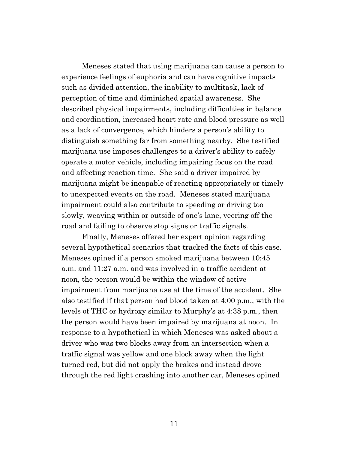Meneses stated that using marijuana can cause a person to experience feelings of euphoria and can have cognitive impacts such as divided attention, the inability to multitask, lack of perception of time and diminished spatial awareness. She described physical impairments, including difficulties in balance and coordination, increased heart rate and blood pressure as well as a lack of convergence, which hinders a person's ability to distinguish something far from something nearby. She testified marijuana use imposes challenges to a driver's ability to safely operate a motor vehicle, including impairing focus on the road and affecting reaction time. She said a driver impaired by marijuana might be incapable of reacting appropriately or timely to unexpected events on the road. Meneses stated marijuana impairment could also contribute to speeding or driving too slowly, weaving within or outside of one's lane, veering off the road and failing to observe stop signs or traffic signals.

Finally, Meneses offered her expert opinion regarding several hypothetical scenarios that tracked the facts of this case. Meneses opined if a person smoked marijuana between 10:45 a.m. and 11:27 a.m. and was involved in a traffic accident at noon, the person would be within the window of active impairment from marijuana use at the time of the accident. She also testified if that person had blood taken at 4:00 p.m., with the levels of THC or hydroxy similar to Murphy's at 4:38 p.m., then the person would have been impaired by marijuana at noon. In response to a hypothetical in which Meneses was asked about a driver who was two blocks away from an intersection when a traffic signal was yellow and one block away when the light turned red, but did not apply the brakes and instead drove through the red light crashing into another car, Meneses opined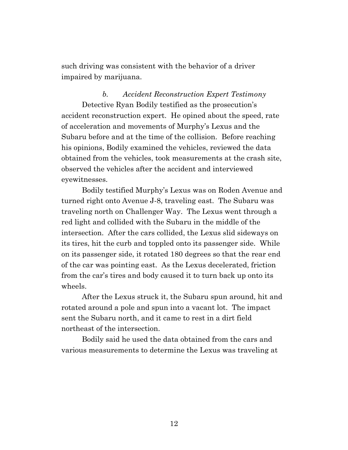such driving was consistent with the behavior of a driver impaired by marijuana.

*b. Accident Reconstruction Expert Testimony* Detective Ryan Bodily testified as the prosecution's accident reconstruction expert. He opined about the speed, rate of acceleration and movements of Murphy's Lexus and the Subaru before and at the time of the collision. Before reaching his opinions, Bodily examined the vehicles, reviewed the data obtained from the vehicles, took measurements at the crash site, observed the vehicles after the accident and interviewed eyewitnesses.

Bodily testified Murphy's Lexus was on Roden Avenue and turned right onto Avenue J-8, traveling east. The Subaru was traveling north on Challenger Way. The Lexus went through a red light and collided with the Subaru in the middle of the intersection. After the cars collided, the Lexus slid sideways on its tires, hit the curb and toppled onto its passenger side. While on its passenger side, it rotated 180 degrees so that the rear end of the car was pointing east. As the Lexus decelerated, friction from the car's tires and body caused it to turn back up onto its wheels.

After the Lexus struck it, the Subaru spun around, hit and rotated around a pole and spun into a vacant lot. The impact sent the Subaru north, and it came to rest in a dirt field northeast of the intersection.

Bodily said he used the data obtained from the cars and various measurements to determine the Lexus was traveling at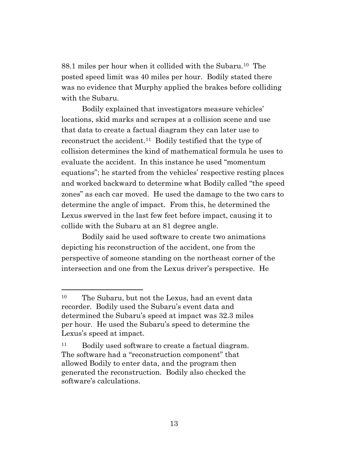88.1 miles per hour when it collided with the Subaru.<sup>10</sup> The posted speed limit was 40 miles per hour. Bodily stated there was no evidence that Murphy applied the brakes before colliding with the Subaru.

Bodily explained that investigators measure vehicles' locations, skid marks and scrapes at a collision scene and use that data to create a factual diagram they can later use to reconstruct the accident.<sup>11</sup> Bodily testified that the type of collision determines the kind of mathematical formula he uses to evaluate the accident. In this instance he used "momentum equations"; he started from the vehicles' respective resting places and worked backward to determine what Bodily called "the speed zones" as each car moved. He used the damage to the two cars to determine the angle of impact. From this, he determined the Lexus swerved in the last few feet before impact, causing it to collide with the Subaru at an 81 degree angle.

Bodily said he used software to create two animations depicting his reconstruction of the accident, one from the perspective of someone standing on the northeast corner of the intersection and one from the Lexus driver's perspective. He

<sup>10</sup> The Subaru, but not the Lexus, had an event data recorder. Bodily used the Subaru's event data and determined the Subaru's speed at impact was 32.3 miles per hour. He used the Subaru's speed to determine the Lexus's speed at impact.

<sup>&</sup>lt;sup>11</sup> Bodily used software to create a factual diagram. The software had a "reconstruction component" that allowed Bodily to enter data, and the program then generated the reconstruction. Bodily also checked the software's calculations.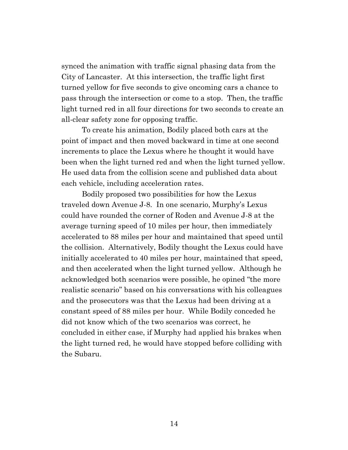synced the animation with traffic signal phasing data from the City of Lancaster. At this intersection, the traffic light first turned yellow for five seconds to give oncoming cars a chance to pass through the intersection or come to a stop. Then, the traffic light turned red in all four directions for two seconds to create an all-clear safety zone for opposing traffic.

To create his animation, Bodily placed both cars at the point of impact and then moved backward in time at one second increments to place the Lexus where he thought it would have been when the light turned red and when the light turned yellow. He used data from the collision scene and published data about each vehicle, including acceleration rates.

Bodily proposed two possibilities for how the Lexus traveled down Avenue J-8. In one scenario, Murphy's Lexus could have rounded the corner of Roden and Avenue J-8 at the average turning speed of 10 miles per hour, then immediately accelerated to 88 miles per hour and maintained that speed until the collision. Alternatively, Bodily thought the Lexus could have initially accelerated to 40 miles per hour, maintained that speed, and then accelerated when the light turned yellow. Although he acknowledged both scenarios were possible, he opined "the more realistic scenario" based on his conversations with his colleagues and the prosecutors was that the Lexus had been driving at a constant speed of 88 miles per hour. While Bodily conceded he did not know which of the two scenarios was correct, he concluded in either case, if Murphy had applied his brakes when the light turned red, he would have stopped before colliding with the Subaru.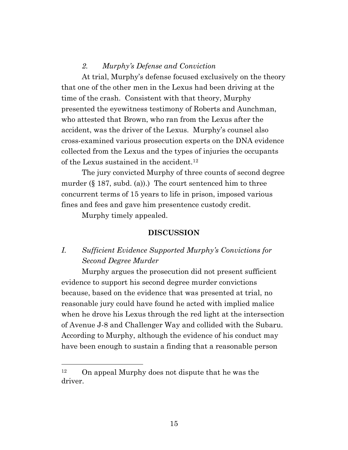# *2. Murphy's Defense and Conviction*

At trial, Murphy's defense focused exclusively on the theory that one of the other men in the Lexus had been driving at the time of the crash. Consistent with that theory, Murphy presented the eyewitness testimony of Roberts and Aunchman, who attested that Brown, who ran from the Lexus after the accident, was the driver of the Lexus. Murphy's counsel also cross-examined various prosecution experts on the DNA evidence collected from the Lexus and the types of injuries the occupants of the Lexus sustained in the accident. 12

The jury convicted Murphy of three counts of second degree murder  $(\S 187, \text{subd. (a)}).$  The court sentenced him to three concurrent terms of 15 years to life in prison, imposed various fines and fees and gave him presentence custody credit.

Murphy timely appealed.

#### **DISCUSSION**

# *I. Sufficient Evidence Supported Murphy's Convictions for Second Degree Murder*

Murphy argues the prosecution did not present sufficient evidence to support his second degree murder convictions because, based on the evidence that was presented at trial, no reasonable jury could have found he acted with implied malice when he drove his Lexus through the red light at the intersection of Avenue J-8 and Challenger Way and collided with the Subaru. According to Murphy, although the evidence of his conduct may have been enough to sustain a finding that a reasonable person

<sup>12</sup> On appeal Murphy does not dispute that he was the driver.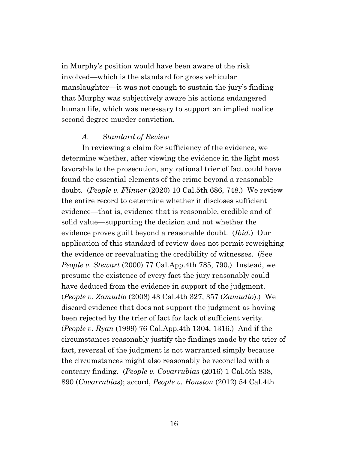in Murphy's position would have been aware of the risk involved—which is the standard for gross vehicular manslaughter—it was not enough to sustain the jury's finding that Murphy was subjectively aware his actions endangered human life, which was necessary to support an implied malice second degree murder conviction.

#### *A. Standard of Review*

In reviewing a claim for sufficiency of the evidence, we determine whether, after viewing the evidence in the light most favorable to the prosecution, any rational trier of fact could have found the essential elements of the crime beyond a reasonable doubt. (*People v. Flinner* (2020) 10 Cal.5th 686, 748.) We review the entire record to determine whether it discloses sufficient evidence—that is, evidence that is reasonable, credible and of solid value—supporting the decision and not whether the evidence proves guilt beyond a reasonable doubt. (*Ibid*.) Our application of this standard of review does not permit reweighing the evidence or reevaluating the credibility of witnesses. (See *People v. Stewart* (2000) 77 Cal.App.4th 785, 790.) Instead, we presume the existence of every fact the jury reasonably could have deduced from the evidence in support of the judgment. (*People v. Zamudio* (2008) 43 Cal.4th 327, 357 (*Zamudio*).) We discard evidence that does not support the judgment as having been rejected by the trier of fact for lack of sufficient verity. (*People v. Ryan* (1999) 76 Cal.App.4th 1304, 1316.) And if the circumstances reasonably justify the findings made by the trier of fact, reversal of the judgment is not warranted simply because the circumstances might also reasonably be reconciled with a contrary finding. (*People v. Covarrubias* (2016) 1 Cal.5th 838, 890 (*Covarrubias*); accord, *People v. Houston* (2012) 54 Cal.4th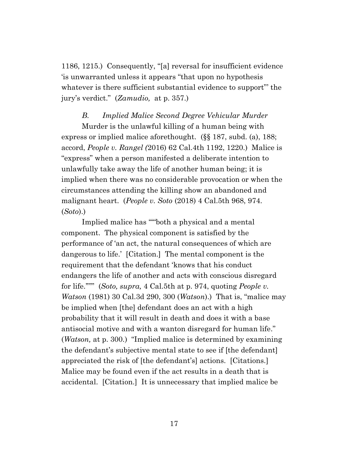1186, 1215.) Consequently, "[a] reversal for insufficient evidence 'is unwarranted unless it appears "that upon no hypothesis whatever is there sufficient substantial evidence to support" the jury's verdict." (*Zamudio,* at p. 357.)

# *B. Implied Malice Second Degree Vehicular Murder*

Murder is the unlawful killing of a human being with express or implied malice aforethought. (§§ 187, subd. (a), 188; accord, *People v. Rangel (*2016) 62 Cal.4th 1192, 1220.) Malice is "express" when a person manifested a deliberate intention to unlawfully take away the life of another human being; it is implied when there was no considerable provocation or when the circumstances attending the killing show an abandoned and malignant heart. (*People v. Soto* (2018) 4 Cal.5th 968, 974. (*Soto*).)

Implied malice has "'"both a physical and a mental component. The physical component is satisfied by the performance of 'an act, the natural consequences of which are dangerous to life.' [Citation.] The mental component is the requirement that the defendant 'knows that his conduct endangers the life of another and acts with conscious disregard for life.'"'" (*Soto, supra,* 4 Cal.5th at p. 974, quoting *People v. Watson* (1981) 30 Cal.3d 290, 300 (*Watson*).) That is, "malice may be implied when [the] defendant does an act with a high probability that it will result in death and does it with a base antisocial motive and with a wanton disregard for human life." (*Watson,* at p. 300.) "Implied malice is determined by examining the defendant's subjective mental state to see if [the defendant] appreciated the risk of [the defendant's] actions. [Citations.] Malice may be found even if the act results in a death that is accidental. [Citation.] It is unnecessary that implied malice be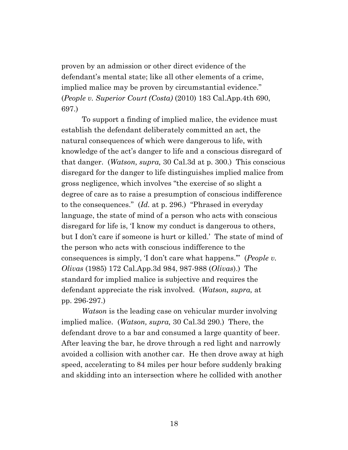proven by an admission or other direct evidence of the defendant's mental state; like all other elements of a crime, implied malice may be proven by circumstantial evidence." (*People v. Superior Court (Costa)* (2010) 183 Cal.App.4th 690, 697.)

To support a finding of implied malice, the evidence must establish the defendant deliberately committed an act, the natural consequences of which were dangerous to life, with knowledge of the act's danger to life and a conscious disregard of that danger. (*Watson, supra,* 30 Cal.3d at p. 300.) This conscious disregard for the danger to life distinguishes implied malice from gross negligence, which involves "the exercise of so slight a degree of care as to raise a presumption of conscious indifference to the consequences." (*Id.* at p. 296.) "Phrased in everyday language, the state of mind of a person who acts with conscious disregard for life is, 'I know my conduct is dangerous to others, but I don't care if someone is hurt or killed.' The state of mind of the person who acts with conscious indifference to the consequences is simply, 'I don't care what happens.'" (*People v. Olivas* (1985) 172 Cal.App.3d 984, 987-988 (*Olivas*).) The standard for implied malice is subjective and requires the defendant appreciate the risk involved. (*Watson, supra,* at pp. 296-297.)

*Watson* is the leading case on vehicular murder involving implied malice. (*Watson, supra,* 30 Cal.3d 290.) There, the defendant drove to a bar and consumed a large quantity of beer. After leaving the bar, he drove through a red light and narrowly avoided a collision with another car. He then drove away at high speed, accelerating to 84 miles per hour before suddenly braking and skidding into an intersection where he collided with another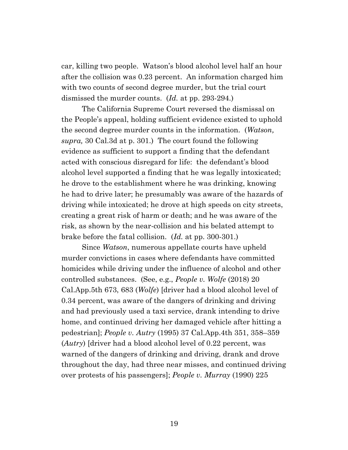car, killing two people. Watson's blood alcohol level half an hour after the collision was 0.23 percent. An information charged him with two counts of second degree murder, but the trial court dismissed the murder counts. (*Id.* at pp. 293-294.)

The California Supreme Court reversed the dismissal on the People's appeal, holding sufficient evidence existed to uphold the second degree murder counts in the information. (*Watson, supra,* 30 Cal.3d at p. 301.) The court found the following evidence as sufficient to support a finding that the defendant acted with conscious disregard for life: the defendant's blood alcohol level supported a finding that he was legally intoxicated; he drove to the establishment where he was drinking, knowing he had to drive later; he presumably was aware of the hazards of driving while intoxicated; he drove at high speeds on city streets, creating a great risk of harm or death; and he was aware of the risk, as shown by the near-collision and his belated attempt to brake before the fatal collision. (*Id.* at pp. 300-301.)

Since *Watson*, numerous appellate courts have upheld murder convictions in cases where defendants have committed homicides while driving under the influence of alcohol and other controlled substances. (See, e.g., *People v. Wolfe* (2018) 20 Cal.App.5th 673, 683 (*Wolfe*) [driver had a blood alcohol level of 0.34 percent, was aware of the dangers of drinking and driving and had previously used a taxi service, drank intending to drive home, and continued driving her damaged vehicle after hitting a pedestrian]; *People v. Autry* (1995) 37 Cal.App.4th 351, 358–359 (*Autry*) [driver had a blood alcohol level of 0.22 percent, was warned of the dangers of drinking and driving, drank and drove throughout the day, had three near misses, and continued driving over protests of his passengers]; *People v. Murray* (1990) 225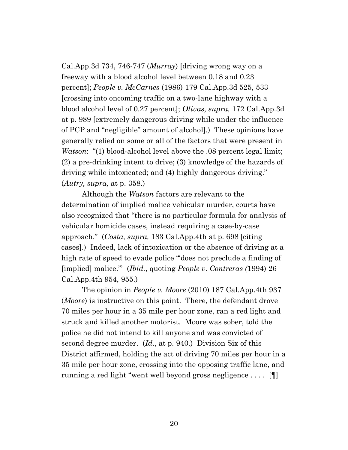Cal.App.3d 734, 746-747 (*Murray*) [driving wrong way on a freeway with a blood alcohol level between 0.18 and 0.23 percent]; *People v. McCarnes* (1986) 179 Cal.App.3d 525, 533 [crossing into oncoming traffic on a two-lane highway with a blood alcohol level of 0.27 percent]; *Olivas, supra,* 172 Cal.App.3d at p. 989 [extremely dangerous driving while under the influence of PCP and "negligible" amount of alcohol].) These opinions have generally relied on some or all of the factors that were present in *Watson*: "(1) blood-alcohol level above the .08 percent legal limit; (2) a pre-drinking intent to drive; (3) knowledge of the hazards of driving while intoxicated; and (4) highly dangerous driving." (*Autry, supra,* at p. 358.)

Although the *Watson* factors are relevant to the determination of implied malice vehicular murder, courts have also recognized that "there is no particular formula for analysis of vehicular homicide cases, instead requiring a case-by-case approach." (*Costa, supra,* 183 Cal.App.4th at p. 698 [citing cases].) Indeed, lack of intoxication or the absence of driving at a high rate of speed to evade police "does not preclude a finding of [implied] malice.'" (*Ibid.*, quoting *People v. Contreras (*1994) 26 Cal.App.4th 954, 955.)

The opinion in *People v. Moore* (2010) 187 Cal.App.4th 937 (*Moore*) is instructive on this point. There, the defendant drove 70 miles per hour in a 35 mile per hour zone, ran a red light and struck and killed another motorist. Moore was sober, told the police he did not intend to kill anyone and was convicted of second degree murder. (*Id*., at p. 940.) Division Six of this District affirmed, holding the act of driving 70 miles per hour in a 35 mile per hour zone, crossing into the opposing traffic lane, and running a red light "went well beyond gross negligence . . . . [¶]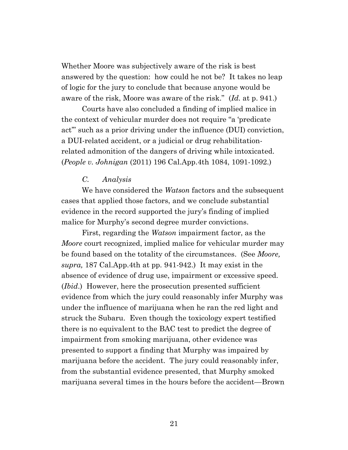Whether Moore was subjectively aware of the risk is best answered by the question: how could he not be? It takes no leap of logic for the jury to conclude that because anyone would be aware of the risk, Moore was aware of the risk." (*Id.* at p. 941.)

Courts have also concluded a finding of implied malice in the context of vehicular murder does not require "a 'predicate act'" such as a prior driving under the influence (DUI) conviction, a DUI-related accident, or a judicial or drug rehabilitationrelated admonition of the dangers of driving while intoxicated. (*People v. Johnigan* (2011) 196 Cal.App.4th 1084, 1091-1092.)

# *C. Analysis*

We have considered the *Watson* factors and the subsequent cases that applied those factors, and we conclude substantial evidence in the record supported the jury's finding of implied malice for Murphy's second degree murder convictions.

First, regarding the *Watson* impairment factor, as the *Moore* court recognized, implied malice for vehicular murder may be found based on the totality of the circumstances. (See *Moore, supra,* 187 Cal.App.4th at pp. 941-942.) It may exist in the absence of evidence of drug use, impairment or excessive speed. (*Ibid*.) However, here the prosecution presented sufficient evidence from which the jury could reasonably infer Murphy was under the influence of marijuana when he ran the red light and struck the Subaru. Even though the toxicology expert testified there is no equivalent to the BAC test to predict the degree of impairment from smoking marijuana, other evidence was presented to support a finding that Murphy was impaired by marijuana before the accident. The jury could reasonably infer, from the substantial evidence presented, that Murphy smoked marijuana several times in the hours before the accident—Brown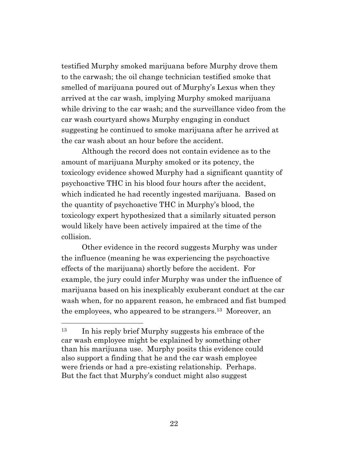testified Murphy smoked marijuana before Murphy drove them to the carwash; the oil change technician testified smoke that smelled of marijuana poured out of Murphy's Lexus when they arrived at the car wash, implying Murphy smoked marijuana while driving to the car wash; and the surveillance video from the car wash courtyard shows Murphy engaging in conduct suggesting he continued to smoke marijuana after he arrived at the car wash about an hour before the accident.

Although the record does not contain evidence as to the amount of marijuana Murphy smoked or its potency, the toxicology evidence showed Murphy had a significant quantity of psychoactive THC in his blood four hours after the accident, which indicated he had recently ingested marijuana. Based on the quantity of psychoactive THC in Murphy's blood, the toxicology expert hypothesized that a similarly situated person would likely have been actively impaired at the time of the collision.

Other evidence in the record suggests Murphy was under the influence (meaning he was experiencing the psychoactive effects of the marijuana) shortly before the accident. For example, the jury could infer Murphy was under the influence of marijuana based on his inexplicably exuberant conduct at the car wash when, for no apparent reason, he embraced and fist bumped the employees, who appeared to be strangers. <sup>13</sup> Moreover, an

<sup>&</sup>lt;sup>13</sup> In his reply brief Murphy suggests his embrace of the car wash employee might be explained by something other than his marijuana use. Murphy posits this evidence could also support a finding that he and the car wash employee were friends or had a pre-existing relationship. Perhaps. But the fact that Murphy's conduct might also suggest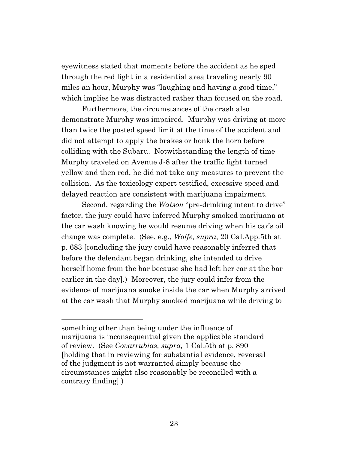eyewitness stated that moments before the accident as he sped through the red light in a residential area traveling nearly 90 miles an hour, Murphy was "laughing and having a good time," which implies he was distracted rather than focused on the road.

Furthermore, the circumstances of the crash also demonstrate Murphy was impaired. Murphy was driving at more than twice the posted speed limit at the time of the accident and did not attempt to apply the brakes or honk the horn before colliding with the Subaru. Notwithstanding the length of time Murphy traveled on Avenue J-8 after the traffic light turned yellow and then red, he did not take any measures to prevent the collision. As the toxicology expert testified, excessive speed and delayed reaction are consistent with marijuana impairment.

Second, regarding the *Watson* "pre-drinking intent to drive" factor, the jury could have inferred Murphy smoked marijuana at the car wash knowing he would resume driving when his car's oil change was complete. (See, e.g., *Wolfe, supra*, 20 Cal.App.5th at p. 683 [concluding the jury could have reasonably inferred that before the defendant began drinking, she intended to drive herself home from the bar because she had left her car at the bar earlier in the day].) Moreover, the jury could infer from the evidence of marijuana smoke inside the car when Murphy arrived at the car wash that Murphy smoked marijuana while driving to

something other than being under the influence of marijuana is inconsequential given the applicable standard of review. (See *Covarrubias, supra,* 1 Cal.5th at p. 890 [holding that in reviewing for substantial evidence, reversal of the judgment is not warranted simply because the circumstances might also reasonably be reconciled with a contrary finding].)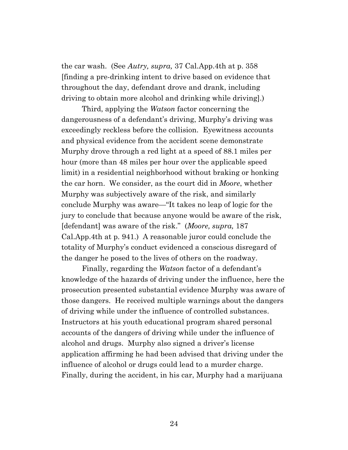the car wash. (See *Autry, supra,* 37 Cal.App.4th at p. 358 [finding a pre-drinking intent to drive based on evidence that throughout the day, defendant drove and drank, including driving to obtain more alcohol and drinking while driving].)

Third, applying the *Watson* factor concerning the dangerousness of a defendant's driving, Murphy's driving was exceedingly reckless before the collision. Eyewitness accounts and physical evidence from the accident scene demonstrate Murphy drove through a red light at a speed of 88.1 miles per hour (more than 48 miles per hour over the applicable speed limit) in a residential neighborhood without braking or honking the car horn. We consider, as the court did in *Moore*, whether Murphy was subjectively aware of the risk, and similarly conclude Murphy was aware—"It takes no leap of logic for the jury to conclude that because anyone would be aware of the risk, [defendant] was aware of the risk." (*Moore, supra,* 187 Cal.App.4th at p. 941.) A reasonable juror could conclude the totality of Murphy's conduct evidenced a conscious disregard of the danger he posed to the lives of others on the roadway.

Finally, regarding the *Watson* factor of a defendant's knowledge of the hazards of driving under the influence, here the prosecution presented substantial evidence Murphy was aware of those dangers. He received multiple warnings about the dangers of driving while under the influence of controlled substances. Instructors at his youth educational program shared personal accounts of the dangers of driving while under the influence of alcohol and drugs. Murphy also signed a driver's license application affirming he had been advised that driving under the influence of alcohol or drugs could lead to a murder charge. Finally, during the accident, in his car, Murphy had a marijuana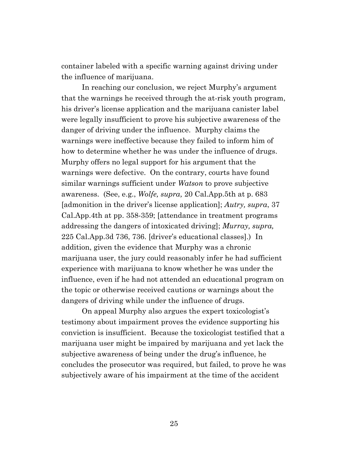container labeled with a specific warning against driving under the influence of marijuana.

In reaching our conclusion, we reject Murphy's argument that the warnings he received through the at-risk youth program, his driver's license application and the marijuana canister label were legally insufficient to prove his subjective awareness of the danger of driving under the influence. Murphy claims the warnings were ineffective because they failed to inform him of how to determine whether he was under the influence of drugs. Murphy offers no legal support for his argument that the warnings were defective. On the contrary, courts have found similar warnings sufficient under *Watson* to prove subjective awareness. (See, e.g., *Wolfe, supra,* 20 Cal.App.5th at p. 683 [admonition in the driver's license application]; *Autry, supra*, 37 Cal.App.4th at pp. 358-359; [attendance in treatment programs addressing the dangers of intoxicated driving]; *Murray, supra,* 225 Cal.App.3d 736, 736. [driver's educational classes].) In addition, given the evidence that Murphy was a chronic marijuana user, the jury could reasonably infer he had sufficient experience with marijuana to know whether he was under the influence, even if he had not attended an educational program on the topic or otherwise received cautions or warnings about the dangers of driving while under the influence of drugs.

On appeal Murphy also argues the expert toxicologist's testimony about impairment proves the evidence supporting his conviction is insufficient. Because the toxicologist testified that a marijuana user might be impaired by marijuana and yet lack the subjective awareness of being under the drug's influence, he concludes the prosecutor was required, but failed, to prove he was subjectively aware of his impairment at the time of the accident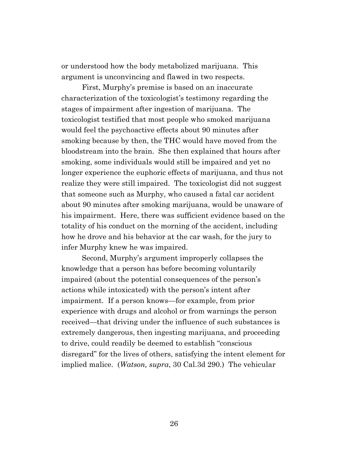or understood how the body metabolized marijuana. This argument is unconvincing and flawed in two respects.

First, Murphy's premise is based on an inaccurate characterization of the toxicologist's testimony regarding the stages of impairment after ingestion of marijuana. The toxicologist testified that most people who smoked marijuana would feel the psychoactive effects about 90 minutes after smoking because by then, the THC would have moved from the bloodstream into the brain. She then explained that hours after smoking, some individuals would still be impaired and yet no longer experience the euphoric effects of marijuana, and thus not realize they were still impaired. The toxicologist did not suggest that someone such as Murphy, who caused a fatal car accident about 90 minutes after smoking marijuana, would be unaware of his impairment. Here, there was sufficient evidence based on the totality of his conduct on the morning of the accident, including how he drove and his behavior at the car wash, for the jury to infer Murphy knew he was impaired.

Second, Murphy's argument improperly collapses the knowledge that a person has before becoming voluntarily impaired (about the potential consequences of the person's actions while intoxicated) with the person's intent after impairment. If a person knows—for example, from prior experience with drugs and alcohol or from warnings the person received—that driving under the influence of such substances is extremely dangerous, then ingesting marijuana, and proceeding to drive, could readily be deemed to establish "conscious disregard" for the lives of others, satisfying the intent element for implied malice. (*Watson, supra*, 30 Cal.3d 290.) The vehicular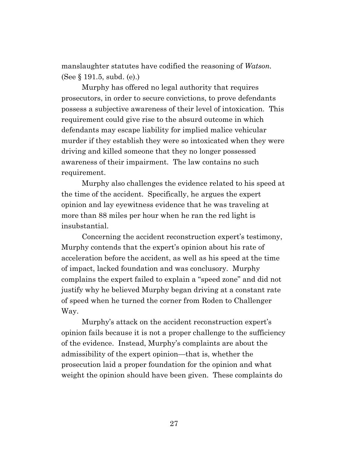manslaughter statutes have codified the reasoning of *Watson.* (See § 191.5, subd. (e).)

Murphy has offered no legal authority that requires prosecutors, in order to secure convictions, to prove defendants possess a subjective awareness of their level of intoxication. This requirement could give rise to the absurd outcome in which defendants may escape liability for implied malice vehicular murder if they establish they were so intoxicated when they were driving and killed someone that they no longer possessed awareness of their impairment. The law contains no such requirement.

Murphy also challenges the evidence related to his speed at the time of the accident. Specifically, he argues the expert opinion and lay eyewitness evidence that he was traveling at more than 88 miles per hour when he ran the red light is insubstantial.

Concerning the accident reconstruction expert's testimony, Murphy contends that the expert's opinion about his rate of acceleration before the accident, as well as his speed at the time of impact, lacked foundation and was conclusory. Murphy complains the expert failed to explain a "speed zone" and did not justify why he believed Murphy began driving at a constant rate of speed when he turned the corner from Roden to Challenger Way.

Murphy's attack on the accident reconstruction expert's opinion fails because it is not a proper challenge to the sufficiency of the evidence. Instead, Murphy's complaints are about the admissibility of the expert opinion—that is, whether the prosecution laid a proper foundation for the opinion and what weight the opinion should have been given. These complaints do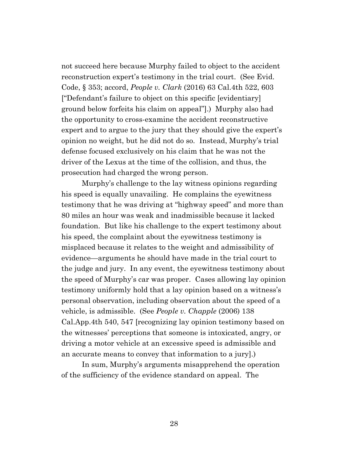not succeed here because Murphy failed to object to the accident reconstruction expert's testimony in the trial court. (See Evid. Code, § 353; accord, *People v. Clark* (2016) 63 Cal.4th 522, 603 ["Defendant's failure to object on this specific [evidentiary] ground below forfeits his claim on appeal"].) Murphy also had the opportunity to cross-examine the accident reconstructive expert and to argue to the jury that they should give the expert's opinion no weight, but he did not do so. Instead, Murphy's trial defense focused exclusively on his claim that he was not the driver of the Lexus at the time of the collision, and thus, the prosecution had charged the wrong person.

Murphy's challenge to the lay witness opinions regarding his speed is equally unavailing. He complains the eyewitness testimony that he was driving at "highway speed" and more than 80 miles an hour was weak and inadmissible because it lacked foundation. But like his challenge to the expert testimony about his speed, the complaint about the eyewitness testimony is misplaced because it relates to the weight and admissibility of evidence—arguments he should have made in the trial court to the judge and jury. In any event, the eyewitness testimony about the speed of Murphy's car was proper. Cases allowing lay opinion testimony uniformly hold that a lay opinion based on a witness's personal observation, including observation about the speed of a vehicle, is admissible. (See *People v. Chapple* (2006) 138 Cal.App.4th 540, 547 [recognizing lay opinion testimony based on the witnesses' perceptions that someone is intoxicated, angry, or driving a motor vehicle at an excessive speed is admissible and an accurate means to convey that information to a jury].)

In sum, Murphy's arguments misapprehend the operation of the sufficiency of the evidence standard on appeal. The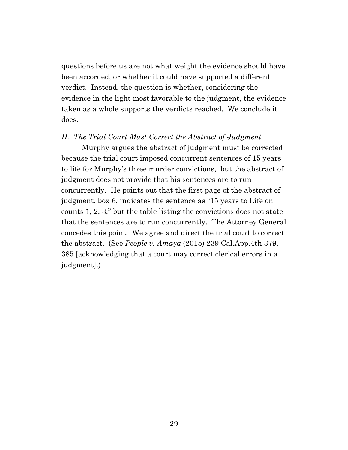questions before us are not what weight the evidence should have been accorded, or whether it could have supported a different verdict. Instead, the question is whether, considering the evidence in the light most favorable to the judgment, the evidence taken as a whole supports the verdicts reached. We conclude it does.

#### *II. The Trial Court Must Correct the Abstract of Judgment*

Murphy argues the abstract of judgment must be corrected because the trial court imposed concurrent sentences of 15 years to life for Murphy's three murder convictions, but the abstract of judgment does not provide that his sentences are to run concurrently. He points out that the first page of the abstract of judgment, box 6, indicates the sentence as "15 years to Life on counts 1, 2, 3," but the table listing the convictions does not state that the sentences are to run concurrently. The Attorney General concedes this point. We agree and direct the trial court to correct the abstract. (See *People v. Amaya* (2015) 239 Cal.App.4th 379, 385 [acknowledging that a court may correct clerical errors in a judgment].)